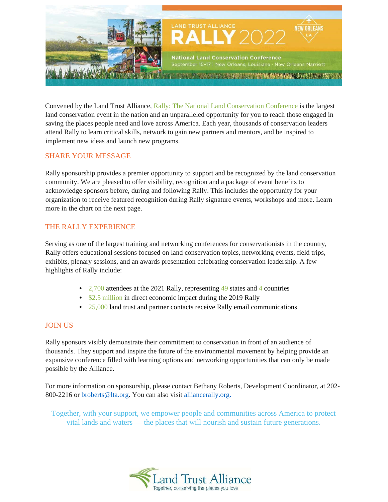

Convened by the Land Trust Alliance, Rally: The National Land Conservation Conference is the largest land conservation event in the nation and an unparalleled opportunity for you to reach those engaged in saving the places people need and love across America. Each year, thousands of conservation leaders attend Rally to learn critical skills, network to gain new partners and mentors, and be inspired to implement new ideas and launch new programs.

### SHARE YOUR MESSAGE

Rally sponsorship provides a premier opportunity to support and be recognized by the land conservation community. We are pleased to offer visibility, recognition and a package of event benefits to acknowledge sponsors before, during and following Rally. This includes the opportunity for your organization to receive featured recognition during Rally signature events, workshops and more. Learn more in the chart on the next page.

# THE RALLY EXPERIENCE

Serving as one of the largest training and networking conferences for conservationists in the country, Rally offers educational sessions focused on land conservation topics, networking events, field trips, exhibits, plenary sessions, and an awards presentation celebrating conservation leadership. A few highlights of Rally include:

- 2,700 attendees at the 2021 Rally, representing 49 states and 4 countries
- \$2.5 million in direct economic impact during the 2019 Rally
- 25,000 land trust and partner contacts receive Rally email communications

## JOIN US

Rally sponsors visibly demonstrate their commitment to conservation in front of an audience of thousands. They support and inspire the future of the environmental movement by helping provide an expansive conference filled with learning options and networking opportunities that can only be made possible by the Alliance.

For more information on sponsorship, please contact Bethany Roberts, Development Coordinator, at 202- 800-2216 or broberts@lta.org. You can also visit alliancerally.org.

Together, with your support, we empower people and communities across America to protect vital lands and waters — the places that will nourish and sustain future generations.